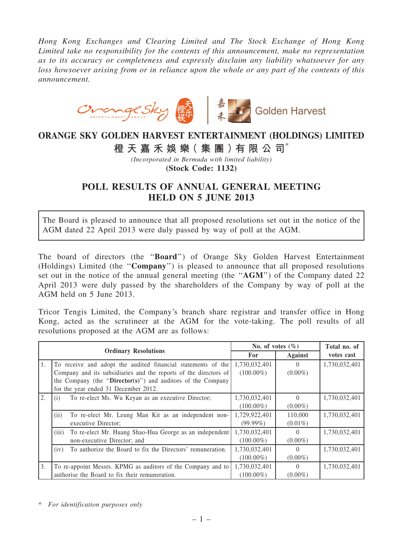*Hong Kong Exchanges and Clearing Limited and The Stock Exchange of Hong Kong Limited take no responsibility for the contents of this announcement, make no representation as to its accuracy or completeness and expressly disclaim any liability whatsoever for any loss howsoever arising from or in reliance upon the whole or any part of the contents of this announcement.*



## ORANGE SKY GOLDEN HARVEST ENTERTAINMENT (HOLDINGS) LIMITED

## 橙 天 嘉 禾 娛 樂 (集 團 ) 有 限 公 司 $^*$

*(Incorporated in Bermuda with limited liability)* (Stock Code: 1132)

## POLL RESULTS OF ANNUAL GENERAL MEETING HELD ON 5 JUNE 2013

The Board is pleased to announce that all proposed resolutions set out in the notice of the AGM dated 22 April 2013 were duly passed by way of poll at the AGM.

The board of directors (the ''Board'') of Orange Sky Golden Harvest Entertainment (Holdings) Limited (the ''Company'') is pleased to announce that all proposed resolutions set out in the notice of the annual general meeting (the "AGM") of the Company dated 22 April 2013 were duly passed by the shareholders of the Company by way of poll at the AGM held on 5 June 2013.

Tricor Tengis Limited, the Company's branch share registrar and transfer office in Hong Kong, acted as the scrutineer at the AGM for the vote-taking. The poll results of all resolutions proposed at the AGM are as follows:

|                             |                                                                     | No. of votes $(\% )$ |                  | Total no. of  |
|-----------------------------|---------------------------------------------------------------------|----------------------|------------------|---------------|
| <b>Ordinary Resolutions</b> |                                                                     | <b>For</b>           | <b>Against</b>   | votes cast    |
| 1.                          | To receive and adopt the audited financial statements of the        | 1,730,032,401        | $\Omega$         | 1,730,032,401 |
|                             | Company and its subsidiaries and the reports of the directors of    | $(100.00\%)$         | $(0.00\%)$       |               |
|                             | the Company (the " $\text{Directory}$ ) and auditors of the Company |                      |                  |               |
|                             | for the year ended 31 December 2012.                                |                      |                  |               |
| 12.                         | To re-elect Ms. Wu Keyan as an executive Director;<br>(i)           | 1,730,032,401        | $\Omega$         | 1,730,032,401 |
|                             |                                                                     | $(100.00\%)$         | $(0.00\%)$       |               |
|                             | (ii)<br>To re-elect Mr. Leung Man Kit as an independent non-        | 1,729,922,401        | 110,000          | 1,730,032,401 |
|                             | executive Director;                                                 | $(99.99\%)$          | $(0.01\%)$       |               |
|                             | To re-elect Mr. Huang Shao-Hua George as an independent<br>(iii)    | 1,730,032,401        | $\Omega$         | 1,730,032,401 |
|                             | non-executive Director; and                                         | $(100.00\%)$         | $(0.00\%)$       |               |
|                             | To authorize the Board to fix the Directors' remuneration.<br>(iv)  | 1,730,032,401        | $\Omega$         | 1,730,032,401 |
|                             |                                                                     | $(100.00\%)$         | $(0.00\%)$       |               |
| 3.                          | To re-appoint Messrs. KPMG as auditors of the Company and to        | 1,730,032,401        | $\left( \right)$ | 1,730,032,401 |
|                             | authorise the Board to fix their remuneration.                      | $(100.00\%)$         | $(0.00\%)$       |               |

\* *For identification purposes only*